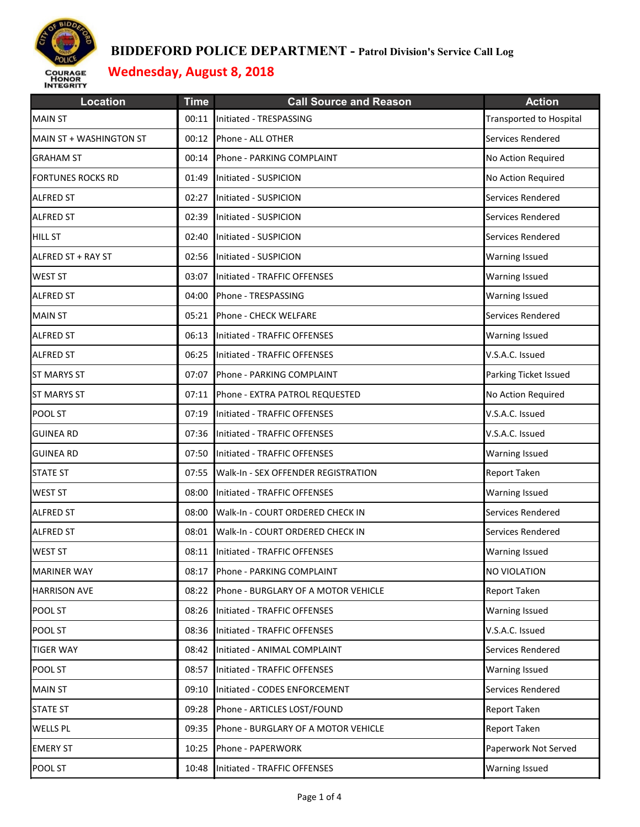

| <b>Location</b>          | <b>Time</b> | <b>Call Source and Reason</b>       | <b>Action</b>                  |
|--------------------------|-------------|-------------------------------------|--------------------------------|
| <b>MAIN ST</b>           | 00:11       | Initiated - TRESPASSING             | <b>Transported to Hospital</b> |
| MAIN ST + WASHINGTON ST  | 00:12       | Phone - ALL OTHER                   | Services Rendered              |
| <b>GRAHAM ST</b>         | 00:14       | Phone - PARKING COMPLAINT           | No Action Required             |
| <b>FORTUNES ROCKS RD</b> | 01:49       | Initiated - SUSPICION               | No Action Required             |
| <b>ALFRED ST</b>         | 02:27       | Initiated - SUSPICION               | Services Rendered              |
| <b>ALFRED ST</b>         | 02:39       | Initiated - SUSPICION               | Services Rendered              |
| <b>HILL ST</b>           | 02:40       | Initiated - SUSPICION               | Services Rendered              |
| ALFRED ST + RAY ST       | 02:56       | Initiated - SUSPICION               | <b>Warning Issued</b>          |
| <b>WEST ST</b>           | 03:07       | Initiated - TRAFFIC OFFENSES        | <b>Warning Issued</b>          |
| <b>ALFRED ST</b>         | 04:00       | Phone - TRESPASSING                 | <b>Warning Issued</b>          |
| <b>MAIN ST</b>           | 05:21       | Phone - CHECK WELFARE               | Services Rendered              |
| <b>ALFRED ST</b>         | 06:13       | Initiated - TRAFFIC OFFENSES        | <b>Warning Issued</b>          |
| <b>ALFRED ST</b>         | 06:25       | Initiated - TRAFFIC OFFENSES        | V.S.A.C. Issued                |
| <b>ST MARYS ST</b>       | 07:07       | Phone - PARKING COMPLAINT           | Parking Ticket Issued          |
| <b>ST MARYS ST</b>       | 07:11       | Phone - EXTRA PATROL REQUESTED      | No Action Required             |
| POOL ST                  | 07:19       | Initiated - TRAFFIC OFFENSES        | V.S.A.C. Issued                |
| <b>GUINEA RD</b>         | 07:36       | Initiated - TRAFFIC OFFENSES        | V.S.A.C. Issued                |
| <b>GUINEA RD</b>         | 07:50       | Initiated - TRAFFIC OFFENSES        | <b>Warning Issued</b>          |
| <b>STATE ST</b>          | 07:55       | Walk-In - SEX OFFENDER REGISTRATION | <b>Report Taken</b>            |
| <b>WEST ST</b>           | 08:00       | Initiated - TRAFFIC OFFENSES        | <b>Warning Issued</b>          |
| <b>ALFRED ST</b>         | 08:00       | Walk-In - COURT ORDERED CHECK IN    | Services Rendered              |
| <b>ALFRED ST</b>         | 08:01       | Walk-In - COURT ORDERED CHECK IN    | Services Rendered              |
| <b>WEST ST</b>           | 08:11       | Initiated - TRAFFIC OFFENSES        | <b>Warning Issued</b>          |
| <b>MARINER WAY</b>       | 08:17       | Phone - PARKING COMPLAINT           | NO VIOLATION                   |
| <b>HARRISON AVE</b>      | 08:22       | Phone - BURGLARY OF A MOTOR VEHICLE | Report Taken                   |
| POOL ST                  | 08:26       | Initiated - TRAFFIC OFFENSES        | <b>Warning Issued</b>          |
| POOL ST                  | 08:36       | Initiated - TRAFFIC OFFENSES        | V.S.A.C. Issued                |
| <b>TIGER WAY</b>         | 08:42       | Initiated - ANIMAL COMPLAINT        | Services Rendered              |
| POOL ST                  | 08:57       | Initiated - TRAFFIC OFFENSES        | <b>Warning Issued</b>          |
| <b>MAIN ST</b>           | 09:10       | Initiated - CODES ENFORCEMENT       | Services Rendered              |
| <b>STATE ST</b>          | 09:28       | Phone - ARTICLES LOST/FOUND         | Report Taken                   |
| <b>WELLS PL</b>          | 09:35       | Phone - BURGLARY OF A MOTOR VEHICLE | <b>Report Taken</b>            |
| <b>EMERY ST</b>          | 10:25       | Phone - PAPERWORK                   | Paperwork Not Served           |
| POOL ST                  | 10:48       | Initiated - TRAFFIC OFFENSES        | <b>Warning Issued</b>          |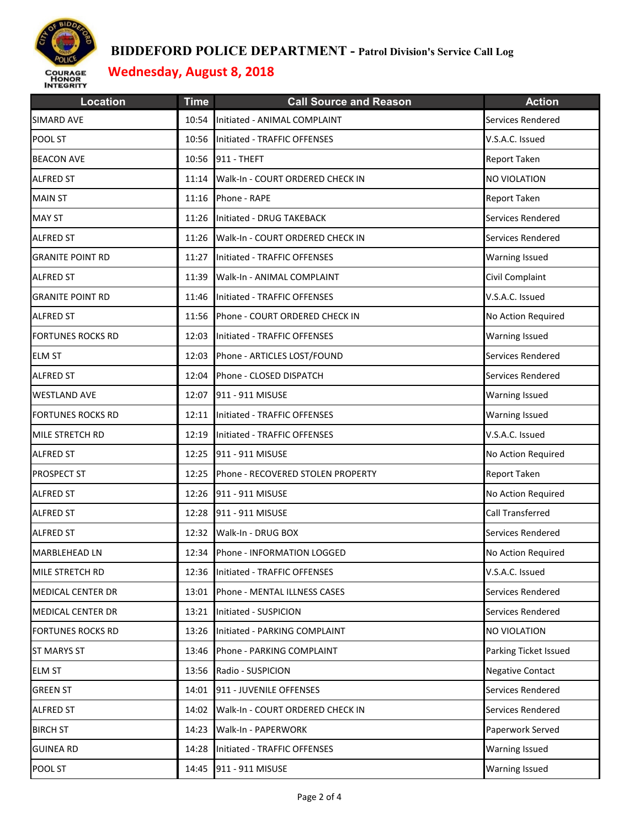

| <b>Location</b>          | <b>Time</b> | <b>Call Source and Reason</b>          | <b>Action</b>           |
|--------------------------|-------------|----------------------------------------|-------------------------|
| <b>SIMARD AVE</b>        | 10:54       | Initiated - ANIMAL COMPLAINT           | Services Rendered       |
| POOL ST                  | 10:56       | Initiated - TRAFFIC OFFENSES           | V.S.A.C. Issued         |
| <b>BEACON AVE</b>        | 10:56       | 911 - THEFT                            | <b>Report Taken</b>     |
| <b>ALFRED ST</b>         | 11:14       | Walk-In - COURT ORDERED CHECK IN       | NO VIOLATION            |
| <b>MAIN ST</b>           | 11:16       | Phone - RAPE                           | Report Taken            |
| <b>MAY ST</b>            |             | 11:26 Initiated - DRUG TAKEBACK        | Services Rendered       |
| <b>ALFRED ST</b>         |             | 11:26 Walk-In - COURT ORDERED CHECK IN | Services Rendered       |
| <b>GRANITE POINT RD</b>  |             | 11:27 Initiated - TRAFFIC OFFENSES     | <b>Warning Issued</b>   |
| <b>ALFRED ST</b>         | 11:39       | Walk-In - ANIMAL COMPLAINT             | Civil Complaint         |
| <b>GRANITE POINT RD</b>  |             | 11:46 Initiated - TRAFFIC OFFENSES     | V.S.A.C. Issued         |
| <b>ALFRED ST</b>         | 11:56       | Phone - COURT ORDERED CHECK IN         | No Action Required      |
| <b>FORTUNES ROCKS RD</b> | 12:03       | Initiated - TRAFFIC OFFENSES           | <b>Warning Issued</b>   |
| <b>ELM ST</b>            | 12:03       | Phone - ARTICLES LOST/FOUND            | Services Rendered       |
| <b>ALFRED ST</b>         | 12:04       | Phone - CLOSED DISPATCH                | Services Rendered       |
| <b>WESTLAND AVE</b>      |             | 12:07 911 - 911 MISUSE                 | <b>Warning Issued</b>   |
| <b>FORTUNES ROCKS RD</b> |             | 12:11 Initiated - TRAFFIC OFFENSES     | <b>Warning Issued</b>   |
| MILE STRETCH RD          | 12:19       | Initiated - TRAFFIC OFFENSES           | V.S.A.C. Issued         |
| <b>ALFRED ST</b>         | 12:25       | 911 - 911 MISUSE                       | No Action Required      |
| PROSPECT ST              | 12:25       | Phone - RECOVERED STOLEN PROPERTY      | Report Taken            |
| <b>ALFRED ST</b>         |             | 12:26 911 - 911 MISUSE                 | No Action Required      |
| <b>ALFRED ST</b>         | 12:28       | 911 - 911 MISUSE                       | Call Transferred        |
| <b>ALFRED ST</b>         |             | 12:32 Walk-In - DRUG BOX               | Services Rendered       |
| <b>MARBLEHEAD LN</b>     |             | 12:34 Phone - INFORMATION LOGGED       | No Action Required      |
| MILE STRETCH RD          |             | 12:36 Initiated - TRAFFIC OFFENSES     | V.S.A.C. Issued         |
| <b>MEDICAL CENTER DR</b> | 13:01       | Phone - MENTAL ILLNESS CASES           | Services Rendered       |
| <b>MEDICAL CENTER DR</b> | 13:21       | Initiated - SUSPICION                  | Services Rendered       |
| <b>FORTUNES ROCKS RD</b> | 13:26       | Initiated - PARKING COMPLAINT          | <b>NO VIOLATION</b>     |
| <b>ST MARYS ST</b>       | 13:46       | Phone - PARKING COMPLAINT              | Parking Ticket Issued   |
| <b>ELM ST</b>            | 13:56       | Radio - SUSPICION                      | <b>Negative Contact</b> |
| <b>GREEN ST</b>          | 14:01       | 911 - JUVENILE OFFENSES                | Services Rendered       |
| <b>ALFRED ST</b>         | 14:02       | Walk-In - COURT ORDERED CHECK IN       | Services Rendered       |
| <b>BIRCH ST</b>          | 14:23       | Walk-In - PAPERWORK                    | Paperwork Served        |
| <b>GUINEA RD</b>         | 14:28       | Initiated - TRAFFIC OFFENSES           | <b>Warning Issued</b>   |
| POOL ST                  | 14:45       | 911 - 911 MISUSE                       | Warning Issued          |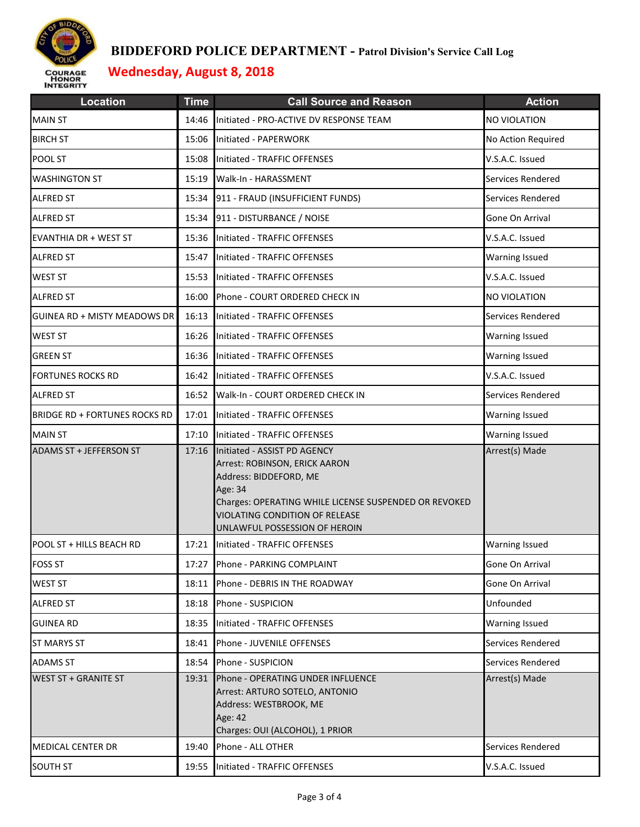

| <b>Location</b>                      | <b>Time</b> | <b>Call Source and Reason</b>                                                                                                                                                                                                  | <b>Action</b>         |
|--------------------------------------|-------------|--------------------------------------------------------------------------------------------------------------------------------------------------------------------------------------------------------------------------------|-----------------------|
| <b>MAIN ST</b>                       | 14:46       | Initiated - PRO-ACTIVE DV RESPONSE TEAM                                                                                                                                                                                        | NO VIOLATION          |
| <b>BIRCH ST</b>                      | 15:06       | Initiated - PAPERWORK                                                                                                                                                                                                          | No Action Required    |
| POOL ST                              | 15:08       | Initiated - TRAFFIC OFFENSES                                                                                                                                                                                                   | V.S.A.C. Issued       |
| <b>WASHINGTON ST</b>                 | 15:19       | Walk-In - HARASSMENT                                                                                                                                                                                                           | Services Rendered     |
| <b>ALFRED ST</b>                     | 15:34       | 911 - FRAUD (INSUFFICIENT FUNDS)                                                                                                                                                                                               | Services Rendered     |
| <b>ALFRED ST</b>                     | 15:34       | 911 - DISTURBANCE / NOISE                                                                                                                                                                                                      | Gone On Arrival       |
| <b>EVANTHIA DR + WEST ST</b>         |             | 15:36 Initiated - TRAFFIC OFFENSES                                                                                                                                                                                             | V.S.A.C. Issued       |
| <b>ALFRED ST</b>                     | 15:47       | Initiated - TRAFFIC OFFENSES                                                                                                                                                                                                   | <b>Warning Issued</b> |
| <b>WEST ST</b>                       | 15:53       | Initiated - TRAFFIC OFFENSES                                                                                                                                                                                                   | V.S.A.C. Issued       |
| <b>ALFRED ST</b>                     | 16:00       | Phone - COURT ORDERED CHECK IN                                                                                                                                                                                                 | NO VIOLATION          |
| <b>GUINEA RD + MISTY MEADOWS DR</b>  | 16:13       | Initiated - TRAFFIC OFFENSES                                                                                                                                                                                                   | Services Rendered     |
| <b>WEST ST</b>                       | 16:26       | Initiated - TRAFFIC OFFENSES                                                                                                                                                                                                   | <b>Warning Issued</b> |
| <b>GREEN ST</b>                      |             | 16:36 Initiated - TRAFFIC OFFENSES                                                                                                                                                                                             | <b>Warning Issued</b> |
| <b>FORTUNES ROCKS RD</b>             |             | 16:42 Initiated - TRAFFIC OFFENSES                                                                                                                                                                                             | V.S.A.C. Issued       |
| <b>ALFRED ST</b>                     |             | 16:52 Walk-In - COURT ORDERED CHECK IN                                                                                                                                                                                         | Services Rendered     |
| <b>BRIDGE RD + FORTUNES ROCKS RD</b> | 17:01       | Initiated - TRAFFIC OFFENSES                                                                                                                                                                                                   | <b>Warning Issued</b> |
| <b>MAIN ST</b>                       | 17:10       | Initiated - TRAFFIC OFFENSES                                                                                                                                                                                                   | <b>Warning Issued</b> |
| ADAMS ST + JEFFERSON ST              | 17:16       | Initiated - ASSIST PD AGENCY<br>Arrest: ROBINSON, ERICK AARON<br>Address: BIDDEFORD, ME<br>Age: 34<br>Charges: OPERATING WHILE LICENSE SUSPENDED OR REVOKED<br>VIOLATING CONDITION OF RELEASE<br>UNLAWFUL POSSESSION OF HEROIN | Arrest(s) Made        |
| POOL ST + HILLS BEACH RD             |             | 17:21 Initiated - TRAFFIC OFFENSES                                                                                                                                                                                             | <b>Warning Issued</b> |
| <b>FOSS ST</b>                       |             | 17:27 Phone - PARKING COMPLAINT                                                                                                                                                                                                | Gone On Arrival       |
| <b>WEST ST</b>                       | 18:11       | Phone - DEBRIS IN THE ROADWAY                                                                                                                                                                                                  | Gone On Arrival       |
| <b>ALFRED ST</b>                     | 18:18       | Phone - SUSPICION                                                                                                                                                                                                              | Unfounded             |
| <b>GUINEA RD</b>                     | 18:35       | Initiated - TRAFFIC OFFENSES                                                                                                                                                                                                   | Warning Issued        |
| <b>ST MARYS ST</b>                   | 18:41       | Phone - JUVENILE OFFENSES                                                                                                                                                                                                      | Services Rendered     |
| <b>ADAMS ST</b>                      | 18:54       | Phone - SUSPICION                                                                                                                                                                                                              | Services Rendered     |
| <b>WEST ST + GRANITE ST</b>          | 19:31       | Phone - OPERATING UNDER INFLUENCE<br>Arrest: ARTURO SOTELO, ANTONIO<br>Address: WESTBROOK, ME<br>Age: 42<br>Charges: OUI (ALCOHOL), 1 PRIOR                                                                                    | Arrest(s) Made        |
| <b>MEDICAL CENTER DR</b>             | 19:40       | Phone - ALL OTHER                                                                                                                                                                                                              | Services Rendered     |
| <b>SOUTH ST</b>                      | 19:55       | Initiated - TRAFFIC OFFENSES                                                                                                                                                                                                   | V.S.A.C. Issued       |